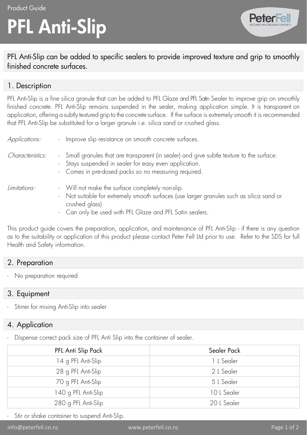# PFL Anti-Slip



PFL Anti-Slip can be added to specific sealers to provide improved texture and grip to smoothly finished concrete surfaces.

#### 1. Description

PFL Anti-Slip is a fine silica granule that can be added to PFL Glaze and PFL Satin Sealer to improve grip on smoothly finished concrete. PFL Anti-Slip remains suspended in the sealer, making application simple. It is transparent on application, offering a subtly textured grip to the concrete surface. If the surface is extremely smooth it is recommended that PFL Anti-Slip be substituted for a larger granule i.e. silica sand or crushed glass.

| Applications:    | - Improve slip resistance on smooth concrete surfaces.                                                                                                                                                                     |
|------------------|----------------------------------------------------------------------------------------------------------------------------------------------------------------------------------------------------------------------------|
| Characteristics: | - Small granules that are transparent (in sealer) and give subtle texture to the surface.<br>- Stays suspended in sealer for easy even application.<br>- Comes in pre-dosed packs so no measuring required.                |
| Limitations:     | - Will not make the surface completely non-slip.<br>- Not suitable for extremely smooth surfaces (use larger granules such as silica sand or<br>crushed glass)<br>- Can only be used with PFL Glaze and PFL Satin sealers. |

This product guide covers the preparation, application, and maintenance of PFL Anti-Slip - if there is any question as to the suitability or application of this product please contact Peter Fell Ltd prior to use. Refer to the SDS for full Health and Safety information.

# 2. Preparation

No preparation required

#### 3. Equipment

Stirrer for mixing Anti-Slip into sealer

# 4. Application

Dispense correct pack size of PFL Anti Slip into the container of sealer.

| PFL Anti Slip Pack  | Sealer Pack |
|---------------------|-------------|
| 14 g PFL Anti-Slip  | 1 L Sealer  |
| 28 g PFL Anti-Slip  | 2 L Sealer  |
| 70 g PFL Anti-Slip  | 5 L Sealer  |
| 140 g PFL Anti-Slip | 10 L Sealer |
| 280 g PFL Anti-Slip | 20 L Sealer |

Stir or shake container to suspend Anti-Slip.